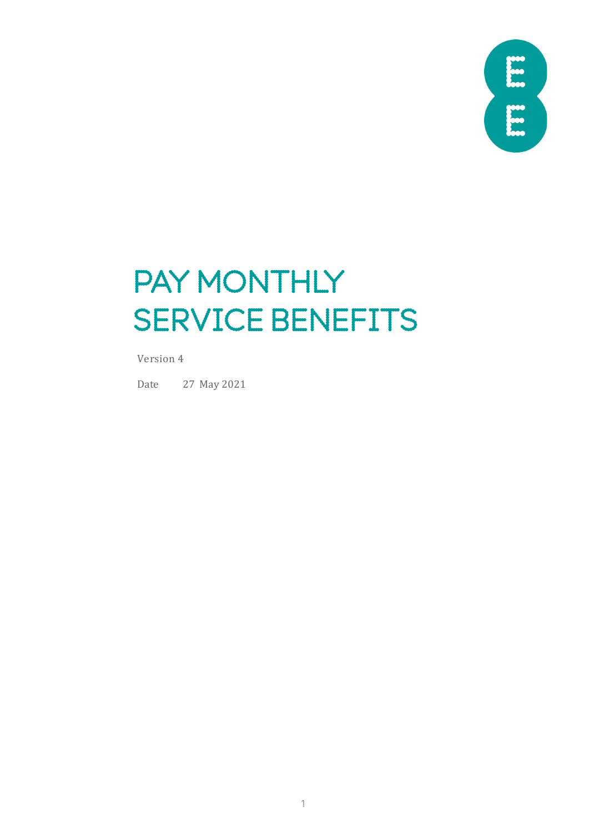

# PAY MONTHLY SERVICE BENEFITS

Version 4

Date 27 May 2021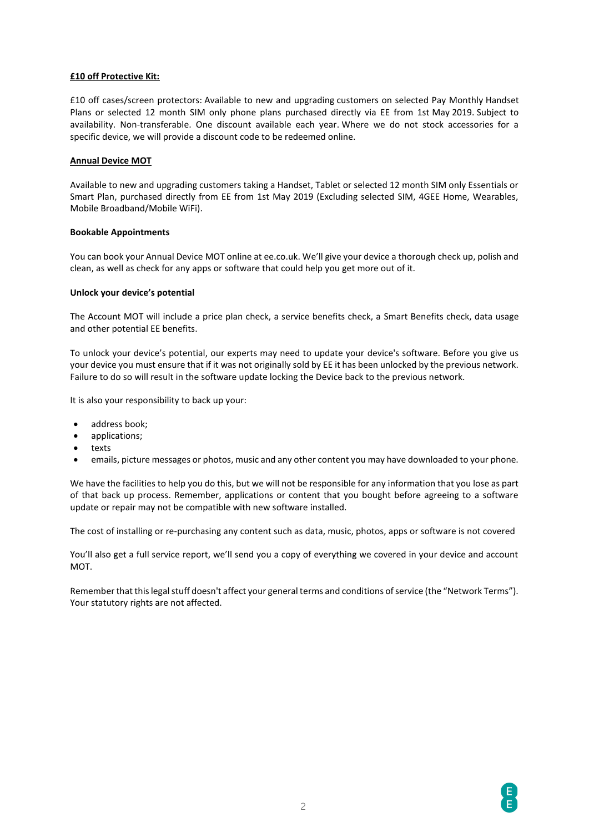### **£10 off Protective Kit:**

£10 off cases/screen protectors: Available to new and upgrading customers on selected Pay Monthly Handset Plans or selected 12 month SIM only phone plans purchased directly via EE from 1st May [2019.](tel:+442019) Subject to availability. Non-transferable. One discount available each year. Where we do not stock accessories for a specific device, we will provide a discount code to be redeemed online.

# **Annual Device MOT**

Available to new and upgrading customers taking a Handset, Tablet or selected 12 month SIM only Essentials or Smart Plan, purchased directly from EE from 1st May 2019 (Excluding selected SIM, 4GEE Home, Wearables, Mobile Broadband/Mobile WiFi).

### **Bookable Appointments**

You can book your Annual Device MOT online at ee.co.uk. We'll give your device a thorough check up, polish and clean, as well as check for any apps or software that could help you get more out of it.

### **Unlock your device's potential**

The Account MOT will include a price plan check, a service benefits check, a Smart Benefits check, data usage and other potential EE benefits.

To unlock your device's potential, our experts may need to update your device's software. Before you give us your device you must ensure that if it was not originally sold by EE it has been unlocked by the previous network. Failure to do so will result in the software update locking the Device back to the previous network.

It is also your responsibility to back up your:

- address book;
- applications;
- texts
- emails, picture messages or photos, music and any other content you may have downloaded to your phone.

We have the facilities to help you do this, but we will not be responsible for any information that you lose as part of that back up process. Remember, applications or content that you bought before agreeing to a software update or repair may not be compatible with new software installed.

The cost of installing or re-purchasing any content such as data, music, photos, apps or software is not covered

You'll also get a full service report, we'll send you a copy of everything we covered in your device and account MOT.

Remember that this legal stuff doesn't affect your general terms and conditions of service (the "Network Terms"). Your statutory rights are not affected.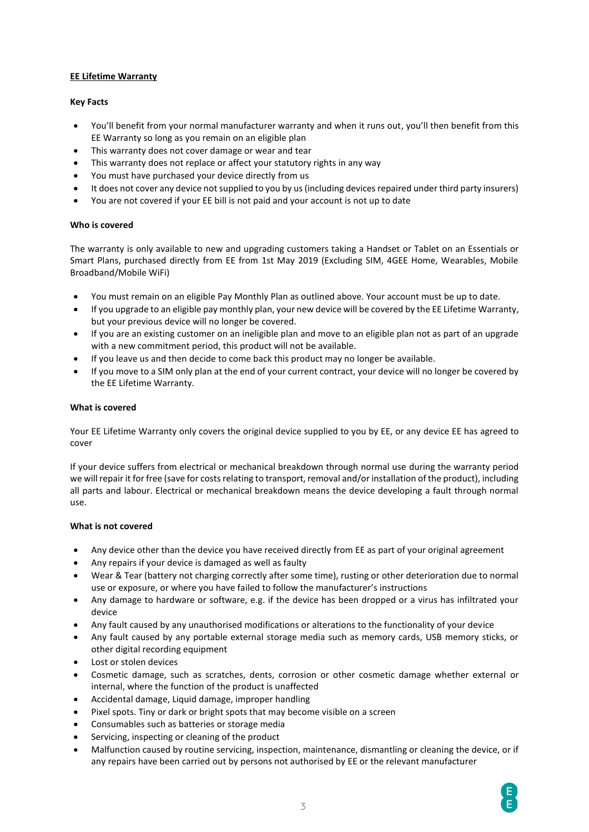# **EE Lifetime Warranty**

### **Key Facts**

- You'll benefit from your normal manufacturer warranty and when it runs out, you'll then benefit from this EE Warranty so long as you remain on an eligible plan
- This warranty does not cover damage or wear and tear
- This warranty does not replace or affect your statutory rights in any way
- You must have purchased your device directly from us
- It does not cover any device not supplied to you by us (including devices repaired under third party insurers)
- You are not covered if your EE bill is not paid and your account is not up to date

### **Who is covered**

The warranty is only available to new and upgrading customers taking a Handset or Tablet on an Essentials or Smart Plans, purchased directly from EE from 1st May 2019 (Excluding SIM, 4GEE Home, Wearables, Mobile Broadband/Mobile WiFi)

- You must remain on an eligible Pay Monthly Plan as outlined above. Your account must be up to date.
- If you upgrade to an eligible pay monthly plan, your new device will be covered by the EE Lifetime Warranty, but your previous device will no longer be covered.
- If you are an existing customer on an ineligible plan and move to an eligible plan not as part of an upgrade with a new commitment period, this product will not be available.
- If you leave us and then decide to come back this product may no longer be available.
- If you move to a SIM only plan at the end of your current contract, your device will no longer be covered by the EE Lifetime Warranty.

### **What is covered**

Your EE Lifetime Warranty only covers the original device supplied to you by EE, or any device EE has agreed to cover

If your device suffers from electrical or mechanical breakdown through normal use during the warranty period we will repair it for free (save for costs relating to transport, removal and/or installation of the product), including all parts and labour. Electrical or mechanical breakdown means the device developing a fault through normal use.

### **What is not covered**

- Any device other than the device you have received directly from EE as part of your original agreement
- Any repairs if your device is damaged as well as faulty
- Wear & Tear (battery not charging correctly after some time), rusting or other deterioration due to normal use or exposure, or where you have failed to follow the manufacturer's instructions
- Any damage to hardware or software, e.g. if the device has been dropped or a virus has infiltrated your device
- Any fault caused by any unauthorised modifications or alterations to the functionality of your device
- Any fault caused by any portable external storage media such as memory cards, USB memory sticks, or other digital recording equipment
- Lost or stolen devices
- Cosmetic damage, such as scratches, dents, corrosion or other cosmetic damage whether external or internal, where the function of the product is unaffected
- Accidental damage, Liquid damage, improper handling
- Pixel spots. Tiny or dark or bright spots that may become visible on a screen
- Consumables such as batteries or storage media
- Servicing, inspecting or cleaning of the product
- Malfunction caused by routine servicing, inspection, maintenance, dismantling or cleaning the device, or if any repairs have been carried out by persons not authorised by EE or the relevant manufacturer